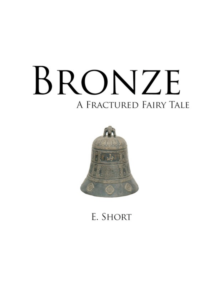# BRONZE A FRACTURED FAIRY TALE



# E. SHORT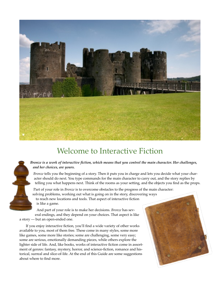

# Welcome to Interactive Fiction

*Bronze is a work of interactive fiction, which means that you control the main character. Her challenges, and her choices, are yours.* 

*Bronze* tells you the beginning of a story. Then it puts you in charge and lets you decide what your character should do next. You type commands for the main character to carry out, and the story replies by telling you what happens next. Think of the rooms as your setting, and the objects you find as the props.

Part of your role in *Bronze* is to overcome obstacles to the progress of the main character: solving problems, working out what is going on in the story, discovering ways to reach new locations and tools. That aspect of interactive fiction is like a game.

And part of your role is to make her decisions. *Bronze* has several endings, and they depend on your choices. That aspect is like a story — but an open-ended one.

If you enjoy interactive fiction, you'll find a wide variety of other works available to you, most of them free. These come in many styles, some more like games, some more like stories; some are challenging, some very easy; some are serious, emotionally demanding pieces, while others explore the lighter side of life. And, like books, works of interactive fiction come in assortment of genres: fantasy, mystery, horror, and science-fiction, romance and historical, surreal and slice-of-life. At the end of this Guide are some suggestions about where to find more.

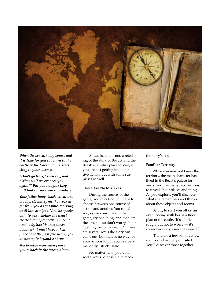

*When the seventh day comes and it is time for you to return to the castle in the forest, your sisters cling to your sleeves.*

*"Don't go back," they say, and "When will we ever see you again?" But you imagine they will find consolation somewhere.*

*Your father hangs back, silent and moody. He has spent the week as far from you as possible, working until late at night. Now he speaks only to ask whether the Beast treated you "properly." Since he obviously has his own ideas about what must have taken place over the past few years, you do not reply beyond a shrug.*

*You breathe more easily once you're back in the forest, alone.*

*Bronze* is, and is not, a retelling of the story of Beauty and the Beast: a familiar place to start, if you are just getting into interactive fiction, but with some surprises as well.

#### **There Are No Mistakes**

During the course of the game, you may find you have to choose between one course of action and another. You can always save your place in the game, try one thing, and then try the other — so don't worry about "getting the game wrong". There are several ways the story can come out, but there is no way for your actions to put you in a permanently "stuck" state.

No matter what you do, it will always be possible to reach the story's end.

#### **Familiar Territory**

While you may not know the territory, the main character has lived in the Beast's palace for years, and has many recollections to reveal about places and things. As you explore, you'll discover what she remembers and thinks about these objects and rooms.

Below, to start you off on an even footing with her, is a floor plan of the castle. (It's a little rough, but not to worry — it's correct in every essential respect.)

 There are a few blanks, a few rooms she has not yet visited. You'll discover those together.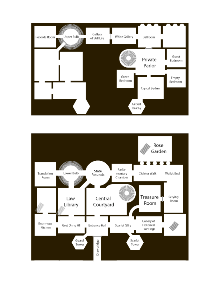

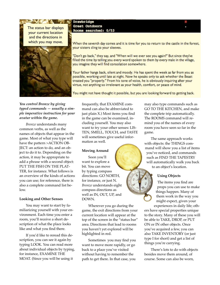The status bar displays your current location and the directions in which you may move.

 $-1$  ,  $-1$  ,  $-1$  ,  $-1$  ,  $-1$  ,  $-1$  ,  $-1$ 



Drawbridge Great Outdoors Rooms searched: 0/53

When the seventh day comes and it is time for you to return to the castle in the forest, your sisters cling to your sleeves.

"Don't go back," they say, and "When will we ever see you again?" But since they've filled the time by telling you every word spoken to them by every male in the village, you imagine they will find consolation somewhere.

Your father hangs back, silent and moody. He has spent the week as far from you as possible, working until late at night. Now he speaks only to ask whether the Beast treated you "properly." From his tone of voice, he is obviously inquiring after your virtue, not anything so irrelevant as your health, comfort, or peace of mind.

You might not have thought it possible, but you are looking forward to getting back.

# *You control Bronze by giving typed commands — usually a simple imperative instruction for your avatar within the game.*

*Bronze* understands many common verbs, as well as the names of objects that appear in the game. Most of what you type will have the pattern >ACTION OB-JECT: an action to do, and an object to do it to. Depending on the action, it may be appropriate to add a phrase with a second object: PUT THE FISH ON THE PLAT-TER, for instance. What follows is an overview of the kinds of actions you can use; for reference, there is also a complete command list below.

## **Looking and Other Senses**

You may want to start by familiarizing yourself with your environment. Each time you enter a room, you'll receive a short description of what the place looks like and what you find there.

If you'd like to reread this description, you can see it again by typing LOOK. You can read more about individual objects by typing, for instance, EXAMINE THE MOAT. (Since you will be using it

frequently, that EXAMINE command can also be abbreviated to just plain X.) Most items you find in the game can be examined, including yourself. You may also want to try your other senses: LIS-TEN, SMELL, TOUCH, and TASTE will sometimes give useful information as well.

#### **Moving Around**

Soon you'll want to explore a bit. You can move by typing compass directions: GO NORTH, for instance, or just N. *Bronze* understands eight compass directions as well as IN, OUT, UP, and DOWN.

Wherever you go during the game, the exit directions from your current location will appear at the top of the screen in the "status bar" area. Directions that lead to rooms you haven't yet explored will be highlighted in red.

Sometimes you may find you want to move more rapidly, or go back to a place you've visited without having to remember the path to get there. In that case, you

may also type commands such as GO TO THE KITCHEN, and make the complete trip automatically. The ROOMS command will remind you of the names of every room you have seen so far in the game.

The same approach works with objects: the THINGS command will show you a list of items you've noticed, and commands such as FIND THE TAPESTRY will automatically walk you back to an object's location.

## **Using Objects**

The items you find are props you can use to make things happen. Many of them work in the way you might expect, given your experiences in daily life; oth-

ers have special properties unique to the story. Many of these you will be able to TAKE, DROP, or PUT ON or IN other objects. Once you've acquired a few, you can also TAKE INVENTORY (or just type I for short) and get a list of things you're carrying.

There's lots to do with objects besides move them around, of course. Some can also be worn,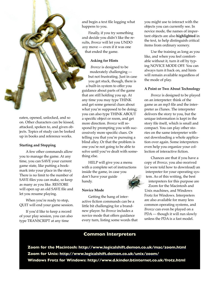

eaten, opened, unlocked, and so on. Other characters can be kissed, attacked, spoken to, and given objects. Topics of study can be looked up in books and reference works.

#### **Starting and Stopping**

A few other commands allow you to manage the game. At any time, you can SAVE your current game state, like putting a bookmark into your place in the story. There is no limit to the number of SAVE files you can make, so keep as many as you like. RESTORE will open up an old SAVE file and let you resume playing.

When you're ready to stop, QUIT will end your game session.

If you'd like to keep a record of your play session, you can also type TRANSCRIPT at any time

and begin a text file logging what happens to you.

Finally, if you try something and decide you didn't like the results, *Bronze* will let you UNDO any move — even if it was one that ended the game.

#### **Asking for Hints**

*Bronze* is designed to be moderately challenging but not frustrating. Just in case you get stuck, though, there is a built-in system to offer you guidance about parts of the game that are still holding you up. At any time you may type THINK and get some general clues about what you're supposed to be doing; you can also type THINK ABOUT a specific object or room, and get more direction. *Bronze* will respond by prompting you with successively more specific clues. Or telling you that you're pursuing a blind alley. Or that the problem is one you're not going to be able to solve until you've dealt with something else.

HELP will give you a menu with a complete set of instructions inside the game, in case you don't have your guide handy.

#### **Novice Mode**

Getting the hang of interactive fiction commands can be a little bit challenging for a brandnew player. So *Bronze* includes a novice mode that offers guidance every turn, listing some words that you might use to interact with the objects you can currently see. In novice mode, the names of important objects are also **highlighted** in the text, to help distinguish critical items from ordinary scenery.

Use the training as long as you like, and when you feel comfortable without it, turn it off by typing NOVICE MODE OFF. You can always turn it back on, and hints will remain available regardless of the mode of play.

#### **A Point or Two About Technology**

*Bronze* is designed to be played on an interpreter: think of the game as an mp3 file and the interpreter as iTunes. The interpreter delivers the story to you, but the unique information is kept in the story file itself, which is small and compact. You can play other stories on the same interpreter without downloading a whole application over again. Some interpreters even help you organize your collection of interactive fiction.

Chances are that if you have a copy of *Bronze*, you also received (or were told how to download) an interpreter for your operating system. As of this writing, the best interpreters for this purpose are Zoom for the Macintosh and Unix machines, and Windows Frotz for Windows. Interpreters are also available for many less common operating systems, and *Bronze* can even be played on a PDA — though it will run slowly unless the PDA is a fast model.

## **Common Interpreters**

**Zoom for the Macintosh:<http://www.logicalshift.demon.co.uk/mac/zoom.html> Zoom for Unix:<http://www.logicalshift.demon.co.uk/unix/zoom/> Windows Frotz for Windows: http://www.d.kinder.btinternet.co.uk/frotz.html**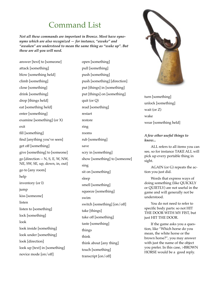# Command List

*Not all these commands are important in Bronze. Most have synonyms which are also recognized — for instance, "awake" and "awaken" are understood to mean the same thing as "wake up". But these are all you will need.*

answer [text] to [someone] attack [something] blow [something held] climb [something] close [something] drink [something] drop [things held] eat [something held] enter [something] examine [something] (or X) exit fill [something] find [anything you've seen] get off [something] give [something] to [someone] go [direction -- N, S, E, W, NW, NE, SW, SE, up, down, in, out] go to [any room] help inventory (or I) jump kiss [someone] listen listen to [something] lock [something] look look inside [something] look under [something] look [direction] look up [text] in [something] novice mode [on/off]

open [something] pull [something] push [something] push [something] [direction] put [things] in [something] put [things] on [something] quit (or Q) read [something] restart restore ring rooms rub [something] save scry in [something] show [something] to [someone] sing sit on [something] sleep smell [something] squeeze [something] swim switch [something] [on/off] take [things] take off [something] taste [something] things think think about [any thing] touch [something] transcript [on/off]



turn [something] unlock [something] wait (or Z) wake wear [something held]

#### *A few other useful things to know...*

ALL refers to all items you can see, so for instance TAKE ALL will pick up every portable thing in sight.

AGAIN (or G) repeats the action you just did.

Words that express ways of doing something (like QUICKLY or QUIETLY) are not useful in the game and will generally not be understood.

You do not need to refer to specific body parts: so not HIT THE DOOR WITH MY FIST, but just HIT THE DOOR.

If the game asks you a question, like "Which horse do you mean, the white horse or the brown horse?", you may answer with just the name of the object you prefer. In this case, >BROWN HORSE would be a good reply.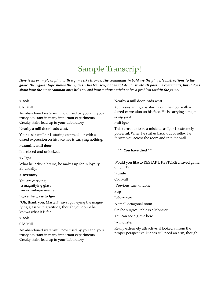# Sample Transcript

*Here is an example of play with a game like Bronze. The commands in bold are the player's instructions to the game; the regular type shows the replies. This transcript does not demonstrate all possible commands, but it does show how the most common ones behave, and how a player might solve a problem within the game.*

#### >**look**

#### Old Mill

An abandoned water-mill now used by you and your trusty assistant in many important experiments. Creaky stairs lead up to your Laboratory.

Nearby a mill door leads west.

Your assistant Igor is staring out the door with a dazed expression on his face. He is carrying nothing.

#### >**examine mill door**

It is closed and unlocked.

#### >**x Igor**

What he lacks in brains, he makes up for in loyalty. Er, usually.

#### >**inventory**

You are carrying: a magnifying glass an extra-large needle

#### >**give the glass to Igor**

"Oh, thank you, Master!" says Igor, eying the magnifying glass with gratitude, though you doubt he knows what it is for.

#### >**look**

#### Old Mill

An abandoned water-mill now used by you and your trusty assistant in many important experiments. Creaky stairs lead up to your Laboratory.

Nearby a mill door leads west.

Your assistant Igor is staring out the door with a dazed expression on his face. He is carrying a magnifying glass.

#### >**hit igor**

This turns out to be a mistake, as Igor is extremely powerful. When he strikes back, out of reflex, he throws you across the room and into the wall...

**\*\*\* You have died \*\*\***

Would you like to RESTART, RESTORE a saved game, or QUIT?

> **undo**

Old Mill

[Previous turn undone.]

#### >**up**

Laboratory

A small octagonal room.

On the surgical table is a Monster.

You can see a glove here.

#### >**x monster**

Really extremely attractive, if looked at from the proper perspective. It does still need an arm, though.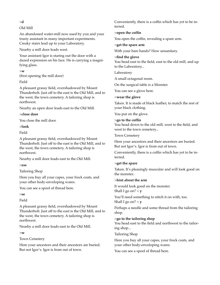>**d**

# Old Mill

An abandoned water-mill now used by you and your trusty assistant in many important experiments. Creaky stairs lead up to your Laboratory.

Nearby a mill door leads west.

Your assistant Igor is staring out the door with a dazed expression on his face. He is carrying a magnifying glass.

>**w**

(first opening the mill door)

# Field

A pleasant grassy field, overshadowed by Mount Thunderbolt. Just off to the east is the Old Mill, and to the west, the town cemetery. A tailoring shop is northwest.

Nearby an open door leads east to the Old Mill.

>**close door**

You close the mill door.

>**look**

Field

A pleasant grassy field, overshadowed by Mount Thunderbolt. Just off to the east is the Old Mill, and to the west, the town cemetery. A tailoring shop is northwest.

Nearby a mill door leads east to the Old Mill.

>**nw**

Tailoring Shop

Here you buy all your capes, your frock coats, and your other body-enveloping wares.

You can see a spool of thread here.

>**se**

Field

A pleasant grassy field, overshadowed by Mount Thunderbolt. Just off to the east is the Old Mill, and to the west, the town cemetery. A tailoring shop is northwest.

Nearby a mill door leads east to the Old Mill.

>**w**

Town Cemetery

Here your ancestors and their ancestors are buried. But not Igor's. Igor is from out of town.

Conveniently, there is a coffin which has yet to be interred.

# >**open the coffin**

You open the coffin, revealing a spare arm.

>**get the spare arm**

With your bare hands? How unsanitary.

# >**find the glove**

You head east to the field, east to the old mill, and up to the Laboratory...

Laboratory

A small octagonal room.

On the surgical table is a Monster.

You can see a glove here.

# >**wear the glove**

Taken. It is made of black leather, to match the rest of your black clothing.

You put on the glove.

# >**go to the coffin**

You head down to the old mill, west to the field, and west to the town cemetery...

# Town Cemetery

Here your ancestors and their ancestors are buried. But not Igor's. Igor is from out of town.

Conveniently, there is a coffin which has yet to be interred.

# >**get the spare**

Taken. It's pleasingly muscular and will look good on the monster.

# >**hint about the arm**

It would look good on the monster. Shall I go on?  $> y$ 

You'll need something to stitch it on with, too. Shall I go on?  $> y$ 

Perhaps a needle and some thread from the tailoring shop.

# >**go to the tailoring shop**

You head east to the field and northwest to the tailoring shop...

Tailoring Shop

Here you buy all your capes, your frock coats, and your other body-enveloping wares.

You can see a spool of thread here.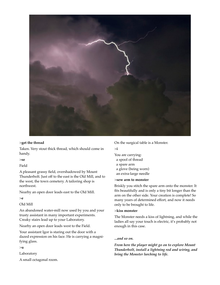

### >**get the thread**

Taken. Very stout thick thread, which should come in handy.

>**se**

Field

A pleasant grassy field, overshadowed by Mount Thunderbolt. Just off to the east is the Old Mill, and to the west, the town cemetery. A tailoring shop is northwest.

Nearby an open door leads east to the Old Mill.

#### >**e**

Old Mill

An abandoned water-mill now used by you and your trusty assistant in many important experiments. Creaky stairs lead up to your Laboratory.

Nearby an open door leads west to the Field.

Your assistant Igor is staring out the door with a dazed expression on his face. He is carrying a magnifying glass.

## >**u**

Laboratory

A small octagonal room.

On the surgical table is a Monster.

>**i**

You are carrying: a spool of thread a spare arm a glove (being worn) an extra-large needle

#### >**sew arm to monster**

Briskly you stitch the spare arm onto the monster. It fits beautifully and is only a tiny bit longer than the arm on the other side. Your creation is complete! So many years of determined effort, and now it needs only to be brought to life.

#### >**kiss monster**

The Monster needs a kiss of lightning, and while the ladies all say your touch is electric, it's probably not enough in this case.

## *...and so on.*

*From here the player might go on to explore Mount Thunderbolt, install a lightning rod and wiring, and bring the Monster lurching to life.*